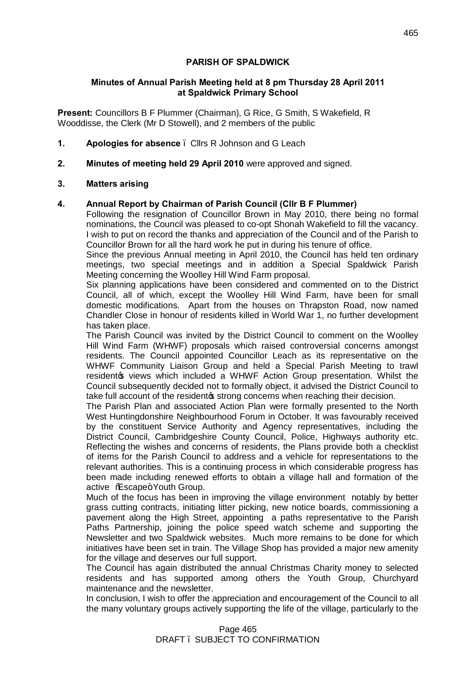# **PARISH OF SPALDWICK**

### **Minutes of Annual Parish Meeting held at 8 pm Thursday 28 April 2011 at Spaldwick Primary School**

**Present:** Councillors B F Plummer (Chairman), G Rice, G Smith, S Wakefield, R Wooddisse, the Clerk (Mr D Stowell), and 2 members of the public

- **1. Apologies for absence**  Cllrs R Johnson and G Leach
- **2. Minutes of meeting held 29 April 2010** were approved and signed.

# **3. Matters arising**

# **4. Annual Report by Chairman of Parish Council (Cllr B F Plummer)**

Following the resignation of Councillor Brown in May 2010, there being no formal nominations, the Council was pleased to co-opt Shonah Wakefield to fill the vacancy. I wish to put on record the thanks and appreciation of the Council and of the Parish to Councillor Brown for all the hard work he put in during his tenure of office.

Since the previous Annual meeting in April 2010, the Council has held ten ordinary meetings, two special meetings and in addition a Special Spaldwick Parish Meeting concerning the Woolley Hill Wind Farm proposal.

Six planning applications have been considered and commented on to the District Council, all of which, except the Woolley Hill Wind Farm, have been for small domestic modifications. Apart from the houses on Thrapston Road, now named Chandler Close in honour of residents killed in World War 1, no further development has taken place.

The Parish Council was invited by the District Council to comment on the Woolley Hill Wind Farm (WHWF) proposals which raised controversial concerns amongst residents. The Council appointed Councillor Leach as its representative on the WHWF Community Liaison Group and held a Special Parish Meeting to trawl residento views which included a WHWF Action Group presentation. Whilst the Council subsequently decided not to formally object, it advised the District Council to take full account of the resident of strong concerns when reaching their decision.

The Parish Plan and associated Action Plan were formally presented to the North West Huntingdonshire Neighbourhood Forum in October. It was favourably received by the constituent Service Authority and Agency representatives, including the District Council, Cambridgeshire County Council, Police, Highways authority etc. Reflecting the wishes and concerns of residents, the Plans provide both a checklist of items for the Parish Council to address and a vehicle for representations to the relevant authorities. This is a continuing process in which considerable progress has been made including renewed efforts to obtain a village hall and formation of the active % Scape+ Youth Group.

Much of the focus has been in improving the village environment notably by better grass cutting contracts, initiating litter picking, new notice boards, commissioning a pavement along the High Street, appointing a paths representative to the Parish Paths Partnership, joining the police speed watch scheme and supporting the Newsletter and two Spaldwick websites. Much more remains to be done for which initiatives have been set in train. The Village Shop has provided a major new amenity for the village and deserves our full support.

The Council has again distributed the annual Christmas Charity money to selected residents and has supported among others the Youth Group, Churchyard maintenance and the newsletter.

In conclusion, I wish to offer the appreciation and encouragement of the Council to all the many voluntary groups actively supporting the life of the village, particularly to the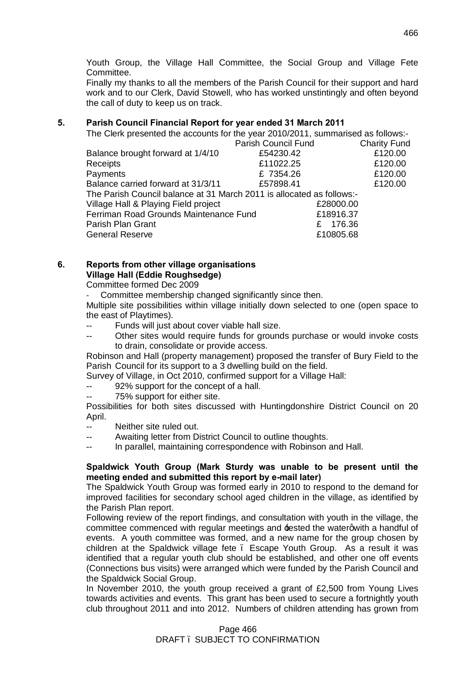Youth Group, the Village Hall Committee, the Social Group and Village Fete Committee.

Finally my thanks to all the members of the Parish Council for their support and hard work and to our Clerk, David Stowell, who has worked unstintingly and often beyond the call of duty to keep us on track.

# **5. Parish Council Financial Report for year ended 31 March 2011**

The Clerk presented the accounts for the year 2010/2011, summarised as follows:-

|                                                                       | Parish Council Fund | <b>Charity Fund</b> |
|-----------------------------------------------------------------------|---------------------|---------------------|
| Balance brought forward at 1/4/10                                     | £54230.42           | £120.00             |
| Receipts                                                              | £11022.25           | £120.00             |
| Payments                                                              | £7354.26            | £120.00             |
| Balance carried forward at 31/3/11                                    | £57898.41           | £120.00             |
| The Parish Council balance at 31 March 2011 is allocated as follows:- |                     |                     |
| Village Hall & Playing Field project                                  | £28000.00           |                     |
| Ferriman Road Grounds Maintenance Fund<br>£18916.37                   |                     |                     |
| Parish Plan Grant                                                     | 176.36              |                     |
| <b>General Reserve</b>                                                | £10805.68           |                     |

### **6. Reports from other village organisations Village Hall (Eddie Roughsedge)**

Committee formed Dec 2009

Committee membership changed significantly since then.

Multiple site possibilities within village initially down selected to one (open space to the east of Playtimes).

- Funds will just about cover viable hall size.
- -- Other sites would require funds for grounds purchase or would invoke costs to drain, consolidate or provide access.

Robinson and Hall (property management) proposed the transfer of Bury Field to the Parish Council for its support to a 3 dwelling build on the field.

Survey of Village, in Oct 2010, confirmed support for a Village Hall:

- 92% support for the concept of a hall.
- 75% support for either site.

Possibilities for both sites discussed with Huntingdonshire District Council on 20 April.

- -- Neither site ruled out.
- -- Awaiting letter from District Council to outline thoughts.
- -- In parallel, maintaining correspondence with Robinson and Hall.

### **Spaldwick Youth Group (Mark Sturdy was unable to be present until the meeting ended and submitted this report by e-mail later)**

The Spaldwick Youth Group was formed early in 2010 to respond to the demand for improved facilities for secondary school aged children in the village, as identified by the Parish Plan report.

Following review of the report findings, and consultation with youth in the village, the committee commenced with regular meetings and **tested the watergwith a handful of** events. A youth committee was formed, and a new name for the group chosen by children at the Spaldwick village fete – Escape Youth Group. As a result it was identified that a regular youth club should be established, and other one off events (Connections bus visits) were arranged which were funded by the Parish Council and the Spaldwick Social Group.

In November 2010, the youth group received a grant of £2,500 from Young Lives towards activities and events. This grant has been used to secure a fortnightly youth club throughout 2011 and into 2012. Numbers of children attending has grown from